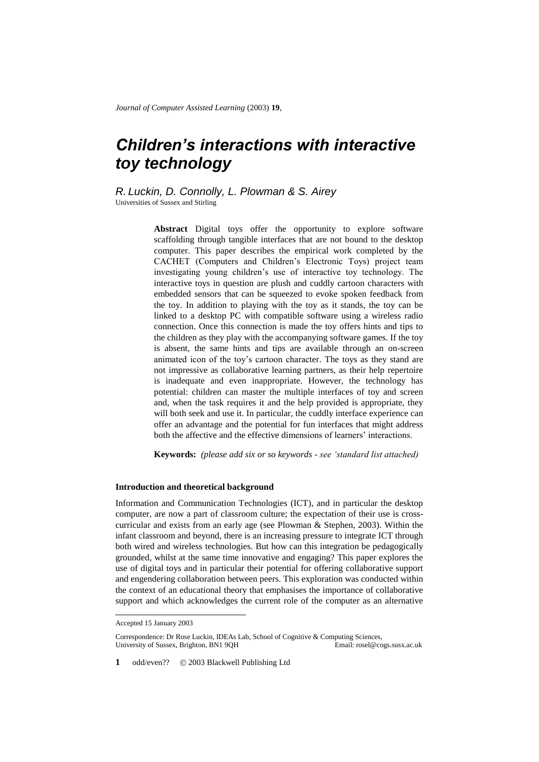*Journal of Computer Assisted Learning* (2003) **19**,

# *Children's interactions with interactive toy technology*

*R. Luckin, D. Connolly, L. Plowman & S. Airey*

Universities of Sussex and Stirling

**Abstract** Digital toys offer the opportunity to explore software scaffolding through tangible interfaces that are not bound to the desktop computer. This paper describes the empirical work completed by the CACHET (Computers and Children's Electronic Toys) project team investigating young children's use of interactive toy technology. The interactive toys in question are plush and cuddly cartoon characters with embedded sensors that can be squeezed to evoke spoken feedback from the toy. In addition to playing with the toy as it stands, the toy can be linked to a desktop PC with compatible software using a wireless radio connection. Once this connection is made the toy offers hints and tips to the children as they play with the accompanying software games. If the toy is absent, the same hints and tips are available through an on-screen animated icon of the toy's cartoon character. The toys as they stand are not impressive as collaborative learning partners, as their help repertoire is inadequate and even inappropriate. However, the technology has potential: children can master the multiple interfaces of toy and screen and, when the task requires it and the help provided is appropriate, they will both seek and use it. In particular, the cuddly interface experience can offer an advantage and the potential for fun interfaces that might address both the affective and the effective dimensions of learners' interactions.

**Keywords:** *(please add six or so keywords - see 'standard list attached)*

## **Introduction and theoretical background**

Information and Communication Technologies (ICT), and in particular the desktop computer, are now a part of classroom culture; the expectation of their use is crosscurricular and exists from an early age (see Plowman & Stephen, 2003). Within the infant classroom and beyond, there is an increasing pressure to integrate ICT through both wired and wireless technologies. But how can this integration be pedagogically grounded, whilst at the same time innovative and engaging? This paper explores the use of digital toys and in particular their potential for offering collaborative support and engendering collaboration between peers. This exploration was conducted within the context of an educational theory that emphasises the importance of collaborative support and which acknowledges the current role of the computer as an alternative

1

Accepted 15 January 2003

Correspondence: Dr Rose Luckin, IDEAs Lab, School of Cognitive & Computing Sciences, University of Sussex, Brighton, BN1 9QH Email: rosel@cogs.susx.ac.uk

<sup>1</sup> odd/even?? © 2003 Blackwell Publishing Ltd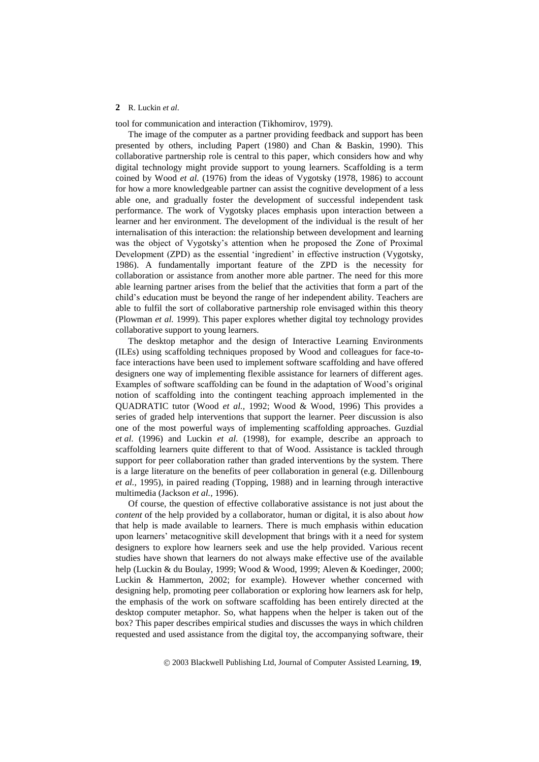tool for communication and interaction (Tikhomirov, 1979).

The image of the computer as a partner providing feedback and support has been presented by others, including Papert (1980) and Chan & Baskin, 1990). This collaborative partnership role is central to this paper, which considers how and why digital technology might provide support to young learners. Scaffolding is a term coined by Wood *et al.* (1976) from the ideas of Vygotsky (1978, 1986) to account for how a more knowledgeable partner can assist the cognitive development of a less able one, and gradually foster the development of successful independent task performance. The work of Vygotsky places emphasis upon interaction between a learner and her environment. The development of the individual is the result of her internalisation of this interaction: the relationship between development and learning was the object of Vygotsky's attention when he proposed the Zone of Proximal Development (ZPD) as the essential 'ingredient' in effective instruction (Vygotsky, 1986). A fundamentally important feature of the ZPD is the necessity for collaboration or assistance from another more able partner. The need for this more able learning partner arises from the belief that the activities that form a part of the child's education must be beyond the range of her independent ability. Teachers are able to fulfil the sort of collaborative partnership role envisaged within this theory (Plowman *et al.* 1999). This paper explores whether digital toy technology provides collaborative support to young learners.

The desktop metaphor and the design of Interactive Learning Environments (ILEs) using scaffolding techniques proposed by Wood and colleagues for face-toface interactions have been used to implement software scaffolding and have offered designers one way of implementing flexible assistance for learners of different ages. Examples of software scaffolding can be found in the adaptation of Wood's original notion of scaffolding into the contingent teaching approach implemented in the QUADRATIC tutor (Wood *et al.,* 1992; Wood & Wood, 1996) This provides a series of graded help interventions that support the learner. Peer discussion is also one of the most powerful ways of implementing scaffolding approaches. Guzdial *et al*. (1996) and Luckin *et al.* (1998), for example, describe an approach to scaffolding learners quite different to that of Wood. Assistance is tackled through support for peer collaboration rather than graded interventions by the system. There is a large literature on the benefits of peer collaboration in general (e.g. Dillenbourg *et al.,* 1995), in paired reading (Topping, 1988) and in learning through interactive multimedia (Jackson *et al.,* 1996).

Of course, the question of effective collaborative assistance is not just about the *content* of the help provided by a collaborator, human or digital, it is also about *how* that help is made available to learners. There is much emphasis within education upon learners' metacognitive skill development that brings with it a need for system designers to explore how learners seek and use the help provided. Various recent studies have shown that learners do not always make effective use of the available help (Luckin & du Boulay, 1999; Wood & Wood, 1999; Aleven & Koedinger, 2000; Luckin & Hammerton, 2002; for example). However whether concerned with designing help, promoting peer collaboration or exploring how learners ask for help, the emphasis of the work on software scaffolding has been entirely directed at the desktop computer metaphor. So, what happens when the helper is taken out of the box? This paper describes empirical studies and discusses the ways in which children requested and used assistance from the digital toy, the accompanying software, their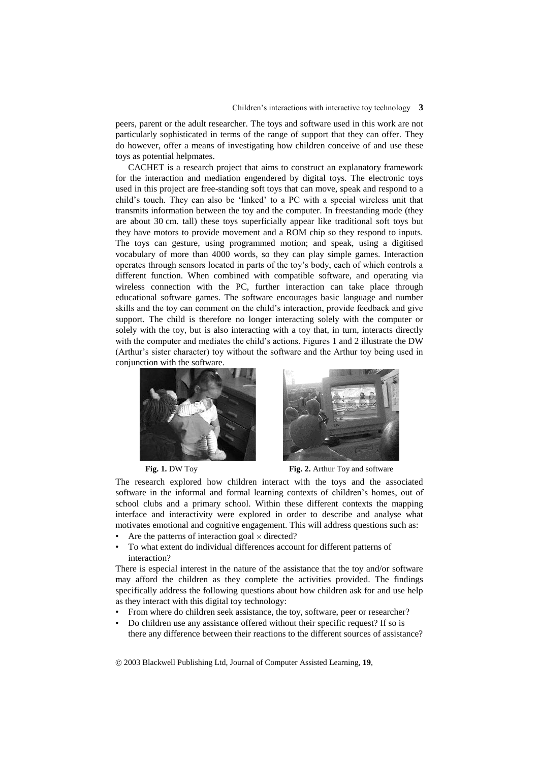peers, parent or the adult researcher. The toys and software used in this work are not particularly sophisticated in terms of the range of support that they can offer. They do however, offer a means of investigating how children conceive of and use these toys as potential helpmates.

CACHET is a research project that aims to construct an explanatory framework for the interaction and mediation engendered by digital toys. The electronic toys used in this project are free-standing soft toys that can move, speak and respond to a child's touch. They can also be 'linked' to a PC with a special wireless unit that transmits information between the toy and the computer. In freestanding mode (they are about 30 cm. tall) these toys superficially appear like traditional soft toys but they have motors to provide movement and a ROM chip so they respond to inputs. The toys can gesture, using programmed motion; and speak, using a digitised vocabulary of more than 4000 words, so they can play simple games. Interaction operates through sensors located in parts of the toy's body, each of which controls a different function. When combined with compatible software, and operating via wireless connection with the PC, further interaction can take place through educational software games. The software encourages basic language and number skills and the toy can comment on the child's interaction, provide feedback and give support. The child is therefore no longer interacting solely with the computer or solely with the toy, but is also interacting with a toy that, in turn, interacts directly with the computer and mediates the child's actions. Figures 1 and 2 illustrate the DW (Arthur's sister character) toy without the software and the Arthur toy being used in conjunction with the software.





**Fig. 1.** DW Toy **Fig. 2.** Arthur Toy and software

The research explored how children interact with the toys and the associated software in the informal and formal learning contexts of children's homes, out of school clubs and a primary school. Within these different contexts the mapping interface and interactivity were explored in order to describe and analyse what motivates emotional and cognitive engagement. This will address questions such as:

- Are the patterns of interaction goal  $\times$  directed?
- To what extent do individual differences account for different patterns of interaction?

There is especial interest in the nature of the assistance that the toy and/or software may afford the children as they complete the activities provided. The findings specifically address the following questions about how children ask for and use help as they interact with this digital toy technology:

- From where do children seek assistance, the toy, software, peer or researcher?
- Do children use any assistance offered without their specific request? If so is there any difference between their reactions to the different sources of assistance?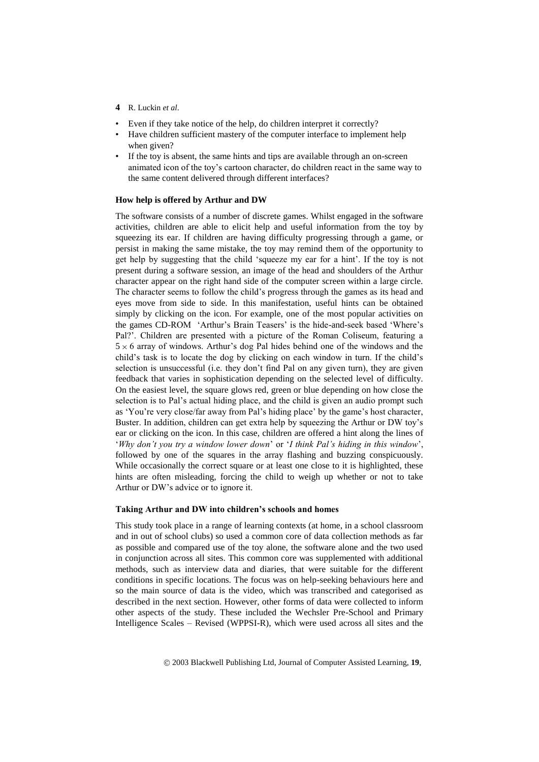- **4** R. Luckin *et al*.
- Even if they take notice of the help, do children interpret it correctly?
- Have children sufficient mastery of the computer interface to implement help when given?
- If the toy is absent, the same hints and tips are available through an on-screen animated icon of the toy's cartoon character, do children react in the same way to the same content delivered through different interfaces?

## **How help is offered by Arthur and DW**

The software consists of a number of discrete games. Whilst engaged in the software activities, children are able to elicit help and useful information from the toy by squeezing its ear. If children are having difficulty progressing through a game, or persist in making the same mistake, the toy may remind them of the opportunity to get help by suggesting that the child 'squeeze my ear for a hint'. If the toy is not present during a software session, an image of the head and shoulders of the Arthur character appear on the right hand side of the computer screen within a large circle. The character seems to follow the child's progress through the games as its head and eyes move from side to side. In this manifestation, useful hints can be obtained simply by clicking on the icon. For example, one of the most popular activities on the games CD-ROM 'Arthur's Brain Teasers' is the hide-and-seek based 'Where's Pal?'. Children are presented with a picture of the Roman Coliseum, featuring a  $5 \times 6$  array of windows. Arthur's dog Pal hides behind one of the windows and the child's task is to locate the dog by clicking on each window in turn. If the child's selection is unsuccessful (i.e. they don't find Pal on any given turn), they are given feedback that varies in sophistication depending on the selected level of difficulty. On the easiest level, the square glows red, green or blue depending on how close the selection is to Pal's actual hiding place, and the child is given an audio prompt such as 'You're very close/far away from Pal's hiding place' by the game's host character, Buster. In addition, children can get extra help by squeezing the Arthur or DW toy's ear or clicking on the icon. In this case, children are offered a hint along the lines of '*Why don't you try a window lower down*' or '*I think Pal's hiding in this window*', followed by one of the squares in the array flashing and buzzing conspicuously. While occasionally the correct square or at least one close to it is highlighted, these hints are often misleading, forcing the child to weigh up whether or not to take Arthur or DW's advice or to ignore it.

## **Taking Arthur and DW into children's schools and homes**

This study took place in a range of learning contexts (at home, in a school classroom and in out of school clubs) so used a common core of data collection methods as far as possible and compared use of the toy alone, the software alone and the two used in conjunction across all sites. This common core was supplemented with additional methods, such as interview data and diaries, that were suitable for the different conditions in specific locations. The focus was on help-seeking behaviours here and so the main source of data is the video, which was transcribed and categorised as described in the next section. However, other forms of data were collected to inform other aspects of the study. These included the Wechsler Pre-School and Primary Intelligence Scales – Revised (WPPSI-R), which were used across all sites and the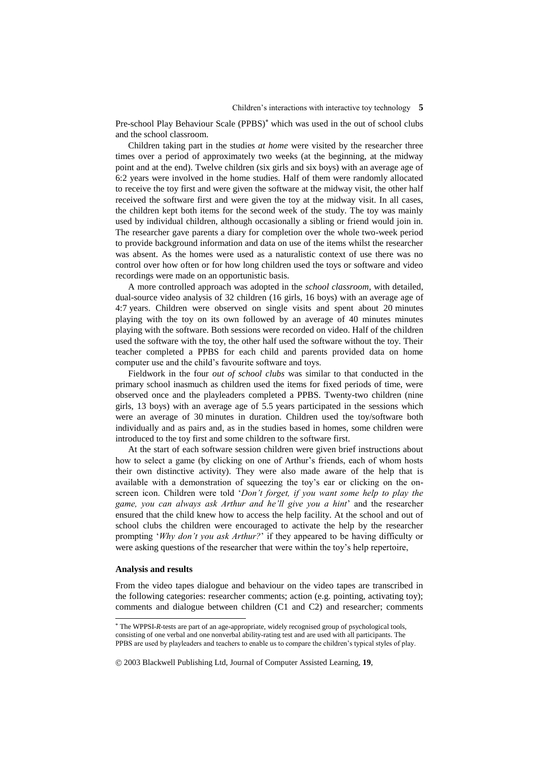Pre-school Play Behaviour Scale (PPBS)<sup>\*</sup> which was used in the out of school clubs and the school classroom.

Children taking part in the studies *at home* were visited by the researcher three times over a period of approximately two weeks (at the beginning, at the midway point and at the end). Twelve children (six girls and six boys) with an average age of 6:2 years were involved in the home studies. Half of them were randomly allocated to receive the toy first and were given the software at the midway visit, the other half received the software first and were given the toy at the midway visit. In all cases, the children kept both items for the second week of the study. The toy was mainly used by individual children, although occasionally a sibling or friend would join in. The researcher gave parents a diary for completion over the whole two-week period to provide background information and data on use of the items whilst the researcher was absent. As the homes were used as a naturalistic context of use there was no control over how often or for how long children used the toys or software and video recordings were made on an opportunistic basis.

A more controlled approach was adopted in the *school classroom*, with detailed, dual-source video analysis of 32 children (16 girls, 16 boys) with an average age of 4:7 years. Children were observed on single visits and spent about 20 minutes playing with the toy on its own followed by an average of 40 minutes minutes playing with the software. Both sessions were recorded on video. Half of the children used the software with the toy, the other half used the software without the toy. Their teacher completed a PPBS for each child and parents provided data on home computer use and the child's favourite software and toys.

Fieldwork in the four *out of school clubs* was similar to that conducted in the primary school inasmuch as children used the items for fixed periods of time, were observed once and the playleaders completed a PPBS. Twenty-two children (nine girls, 13 boys) with an average age of 5.5 years participated in the sessions which were an average of 30 minutes in duration. Children used the toy/software both individually and as pairs and, as in the studies based in homes, some children were introduced to the toy first and some children to the software first.

At the start of each software session children were given brief instructions about how to select a game (by clicking on one of Arthur's friends, each of whom hosts their own distinctive activity). They were also made aware of the help that is available with a demonstration of squeezing the toy's ear or clicking on the onscreen icon. Children were told '*Don't forget, if you want some help to play the game, you can always ask Arthur and he'll give you a hint*' and the researcher ensured that the child knew how to access the help facility. At the school and out of school clubs the children were encouraged to activate the help by the researcher prompting '*Why don't you ask Arthur?*' if they appeared to be having difficulty or were asking questions of the researcher that were within the toy's help repertoire,

## **Analysis and results**

-

From the video tapes dialogue and behaviour on the video tapes are transcribed in the following categories: researcher comments; action (e.g. pointing, activating toy); comments and dialogue between children (C1 and C2) and researcher; comments

The WPPSI-*R*-tests are part of an age-appropriate, widely recognised group of psychological tools, consisting of one verbal and one nonverbal ability-rating test and are used with all participants. The PPBS are used by playleaders and teachers to enable us to compare the children's typical styles of play.

<sup>2003</sup> Blackwell Publishing Ltd, Journal of Computer Assisted Learning, **19**,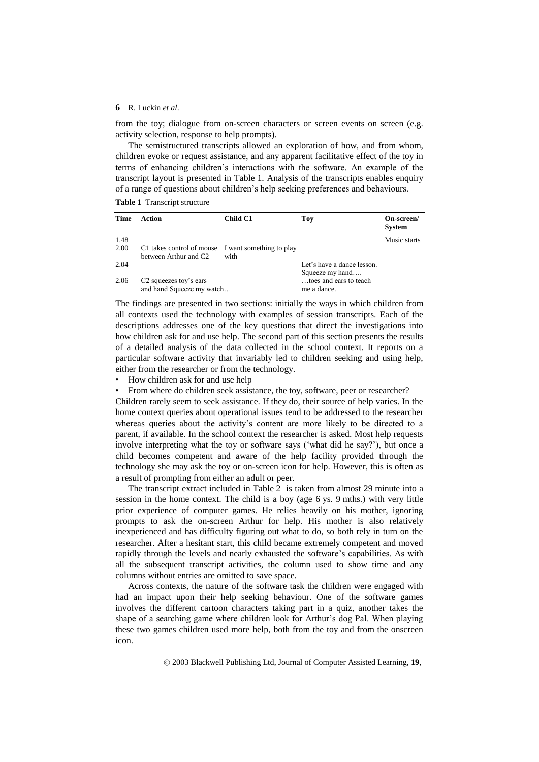from the toy; dialogue from on-screen characters or screen events on screen (e.g. activity selection, response to help prompts).

The semistructured transcripts allowed an exploration of how, and from whom, children evoke or request assistance, and any apparent facilitative effect of the toy in terms of enhancing children's interactions with the software. An example of the transcript layout is presented in Table 1. Analysis of the transcripts enables enquiry of a range of questions about children's help seeking preferences and behaviours.

**Table 1** Transcript structure

| Time | Action                                                                      | Child C1 | Toy                                           | On-screen/<br><b>System</b> |
|------|-----------------------------------------------------------------------------|----------|-----------------------------------------------|-----------------------------|
| 1.48 |                                                                             |          |                                               | Music starts                |
| 2.00 | C1 takes control of mouse I want something to play<br>between Arthur and C2 | with     |                                               |                             |
| 2.04 |                                                                             |          | Let's have a dance lesson.<br>Squeeze my hand |                             |
| 2.06 | C <sub>2</sub> squeezes toy's ears<br>and hand Squeeze my watch             |          | toes and ears to teach<br>me a dance.         |                             |

The findings are presented in two sections: initially the ways in which children from all contexts used the technology with examples of session transcripts. Each of the descriptions addresses one of the key questions that direct the investigations into how children ask for and use help. The second part of this section presents the results of a detailed analysis of the data collected in the school context. It reports on a particular software activity that invariably led to children seeking and using help, either from the researcher or from the technology.

- How children ask for and use help
- From where do children seek assistance, the toy, software, peer or researcher?

Children rarely seem to seek assistance. If they do, their source of help varies. In the home context queries about operational issues tend to be addressed to the researcher whereas queries about the activity's content are more likely to be directed to a parent, if available. In the school context the researcher is asked. Most help requests involve interpreting what the toy or software says ('what did he say?'), but once a child becomes competent and aware of the help facility provided through the technology she may ask the toy or on-screen icon for help. However, this is often as a result of prompting from either an adult or peer.

The transcript extract included in Table 2 is taken from almost 29 minute into a session in the home context. The child is a boy (age 6 ys. 9 mths.) with very little prior experience of computer games. He relies heavily on his mother, ignoring prompts to ask the on-screen Arthur for help. His mother is also relatively inexperienced and has difficulty figuring out what to do, so both rely in turn on the researcher. After a hesitant start, this child became extremely competent and moved rapidly through the levels and nearly exhausted the software's capabilities. As with all the subsequent transcript activities, the column used to show time and any columns without entries are omitted to save space.

Across contexts, the nature of the software task the children were engaged with had an impact upon their help seeking behaviour. One of the software games involves the different cartoon characters taking part in a quiz, another takes the shape of a searching game where children look for Arthur's dog Pal. When playing these two games children used more help, both from the toy and from the onscreen icon.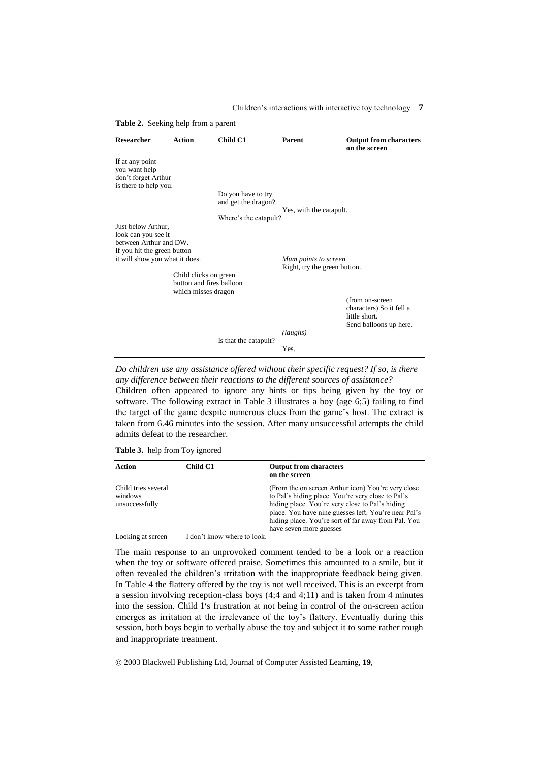| <b>Researcher</b>              | Action                | Child C1                 | <b>Parent</b>                | <b>Output from characters</b><br>on the screen |
|--------------------------------|-----------------------|--------------------------|------------------------------|------------------------------------------------|
| If at any point                |                       |                          |                              |                                                |
| you want help                  |                       |                          |                              |                                                |
| don't forget Arthur            |                       |                          |                              |                                                |
| is there to help you.          |                       |                          |                              |                                                |
|                                |                       | Do you have to try       |                              |                                                |
|                                |                       | and get the dragon?      |                              |                                                |
|                                |                       |                          | Yes, with the catapult.      |                                                |
|                                |                       | Where's the catapult?    |                              |                                                |
| Just below Arthur,             |                       |                          |                              |                                                |
| look can you see it            |                       |                          |                              |                                                |
| between Arthur and DW.         |                       |                          |                              |                                                |
| If you hit the green button    |                       |                          |                              |                                                |
| it will show you what it does. |                       |                          | Mum points to screen         |                                                |
|                                |                       |                          | Right, try the green button. |                                                |
|                                | Child clicks on green |                          |                              |                                                |
|                                |                       | button and fires balloon |                              |                                                |
|                                | which misses dragon   |                          |                              |                                                |
|                                |                       |                          |                              | (from on-screen)                               |
|                                |                       |                          |                              | characters) So it fell a                       |
|                                |                       |                          |                              | little short.                                  |
|                                |                       |                          |                              | Send balloons up here.                         |
|                                |                       |                          | (laughs)                     |                                                |
|                                |                       | Is that the catapult?    |                              |                                                |
|                                |                       |                          | Yes.                         |                                                |

**Table 2.** Seeking help from a parent

*Do children use any assistance offered without their specific request? If so, is there any difference between their reactions to the different sources of assistance?* Children often appeared to ignore any hints or tips being given by the toy or software. The following extract in Table 3 illustrates a boy (age 6;5) failing to find the target of the game despite numerous clues from the game's host. The extract is taken from 6.46 minutes into the session. After many unsuccessful attempts the child admits defeat to the researcher.

**Table 3.** help from Toy ignored

| Action                                           | Child C1                    | <b>Output from characters</b><br>on the screen                                                                                                                                                                                                                                                       |
|--------------------------------------------------|-----------------------------|------------------------------------------------------------------------------------------------------------------------------------------------------------------------------------------------------------------------------------------------------------------------------------------------------|
| Child tries several<br>windows<br>unsuccessfully |                             | (From the on screen Arthur icon) You're very close<br>to Pal's hiding place. You're very close to Pal's<br>hiding place. You're very close to Pal's hiding<br>place. You have nine guesses left. You're near Pal's<br>hiding place. You're sort of far away from Pal. You<br>have seven more guesses |
| Looking at screen                                | I don't know where to look. |                                                                                                                                                                                                                                                                                                      |

The main response to an unprovoked comment tended to be a look or a reaction when the toy or software offered praise. Sometimes this amounted to a smile, but it often revealed the children's irritation with the inappropriate feedback being given. In Table 4 the flattery offered by the toy is not well received. This is an excerpt from a session involving reception-class boys (4;4 and 4;11) and is taken from 4 minutes into the session. Child 1's frustration at not being in control of the on-screen action emerges as irritation at the irrelevance of the toy's flattery. Eventually during this session, both boys begin to verbally abuse the toy and subject it to some rather rough and inappropriate treatment.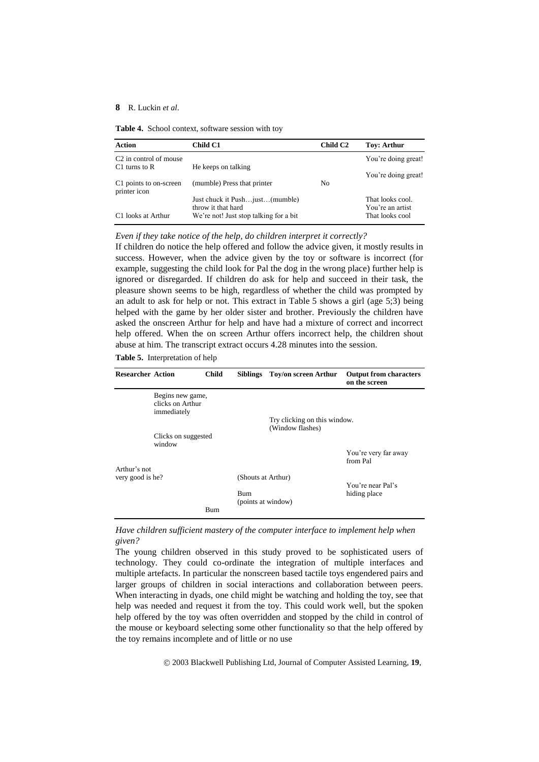**Table 4.** School context, software session with toy

| Action                                 | Child C1                                | Child C <sub>2</sub> | <b>Toy: Arthur</b>  |
|----------------------------------------|-----------------------------------------|----------------------|---------------------|
| C <sub>2</sub> in control of mouse     |                                         |                      | You're doing great! |
| $C1$ turns to R                        | He keeps on talking                     |                      |                     |
| C1 points to on-screen<br>printer icon | (mumble) Press that printer             | No                   | You're doing great! |
|                                        | Just chuck it Push just (mumble)        |                      | That looks cool.    |
|                                        | throw it that hard                      |                      | You're an artist    |
| C <sub>1</sub> looks at Arthur         | We're not! Just stop talking for a bit. |                      | That looks cool     |

*Even if they take notice of the help, do children interpret it correctly?*

If children do notice the help offered and follow the advice given, it mostly results in success. However, when the advice given by the toy or software is incorrect (for example, suggesting the child look for Pal the dog in the wrong place) further help is ignored or disregarded. If children do ask for help and succeed in their task, the pleasure shown seems to be high, regardless of whether the child was prompted by an adult to ask for help or not. This extract in Table 5 shows a girl (age 5;3) being helped with the game by her older sister and brother. Previously the children have asked the onscreen Arthur for help and have had a mixture of correct and incorrect help offered. When the on screen Arthur offers incorrect help, the children shout abuse at him. The transcript extract occurs 4.28 minutes into the session.

**Table 5.** Interpretation of help

| <b>Researcher Action</b>         |                                                     | <b>Child</b> |                                  | Siblings Toy/on screen Arthur                    | <b>Output from characters</b><br>on the screen |
|----------------------------------|-----------------------------------------------------|--------------|----------------------------------|--------------------------------------------------|------------------------------------------------|
|                                  | Begins new game,<br>clicks on Arthur<br>immediately |              |                                  | Try clicking on this window.<br>(Window flashes) |                                                |
|                                  | Clicks on suggested<br>window                       |              |                                  |                                                  |                                                |
|                                  |                                                     |              |                                  |                                                  | You're very far away<br>from Pal               |
| Arthur's not<br>very good is he? |                                                     |              | (Shouts at Arthur)               |                                                  |                                                |
|                                  |                                                     |              | <b>Bum</b><br>(points at window) |                                                  | You're near Pal's<br>hiding place              |
|                                  |                                                     | Bum          |                                  |                                                  |                                                |

*Have children sufficient mastery of the computer interface to implement help when given?*

The young children observed in this study proved to be sophisticated users of technology. They could co-ordinate the integration of multiple interfaces and multiple artefacts. In particular the nonscreen based tactile toys engendered pairs and larger groups of children in social interactions and collaboration between peers. When interacting in dyads, one child might be watching and holding the toy, see that help was needed and request it from the toy. This could work well, but the spoken help offered by the toy was often overridden and stopped by the child in control of the mouse or keyboard selecting some other functionality so that the help offered by the toy remains incomplete and of little or no use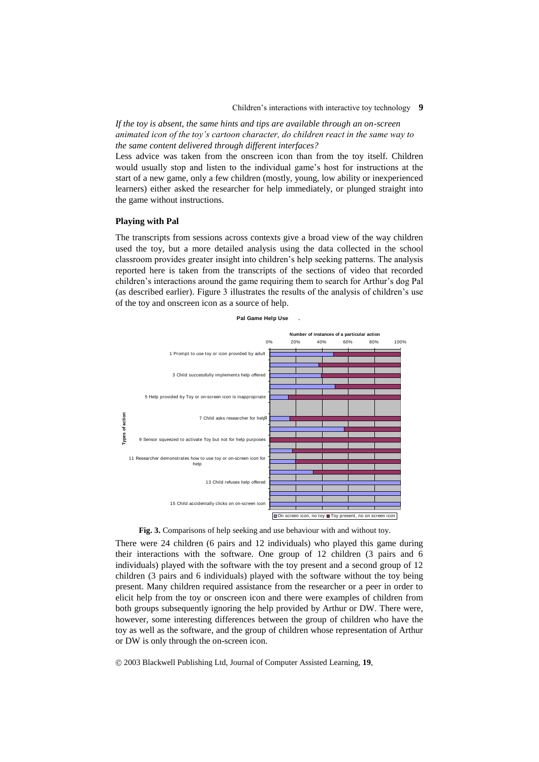*If the toy is absent, the same hints and tips are available through an on-screen animated icon of the toy's cartoon character, do children react in the same way to the same content delivered through different interfaces?*

Less advice was taken from the onscreen icon than from the toy itself. Children would usually stop and listen to the individual game's host for instructions at the start of a new game, only a few children (mostly, young, low ability or inexperienced learners) either asked the researcher for help immediately, or plunged straight into the game without instructions.

# **Playing with Pal**

The transcripts from sessions across contexts give a broad view of the way children used the toy, but a more detailed analysis using the data collected in the school classroom provides greater insight into children's help seeking patterns. The analysis reported here is taken from the transcripts of the sections of video that recorded children's interactions around the game requiring them to search for Arthur's dog Pal (as described earlier). Figure 3 illustrates the results of the analysis of children's use of the toy and onscreen icon as a source of help.



#### **Pal Game Help Use**

**Fig. 3.** Comparisons of help seeking and use behaviour with and without toy.

There were 24 children (6 pairs and 12 individuals) who played this game during their interactions with the software. One group of 12 children (3 pairs and 6 individuals) played with the software with the toy present and a second group of 12 children (3 pairs and 6 individuals) played with the software without the toy being present. Many children required assistance from the researcher or a peer in order to elicit help from the toy or onscreen icon and there were examples of children from both groups subsequently ignoring the help provided by Arthur or DW. There were, however, some interesting differences between the group of children who have the toy as well as the software, and the group of children whose representation of Arthur or DW is only through the on-screen icon.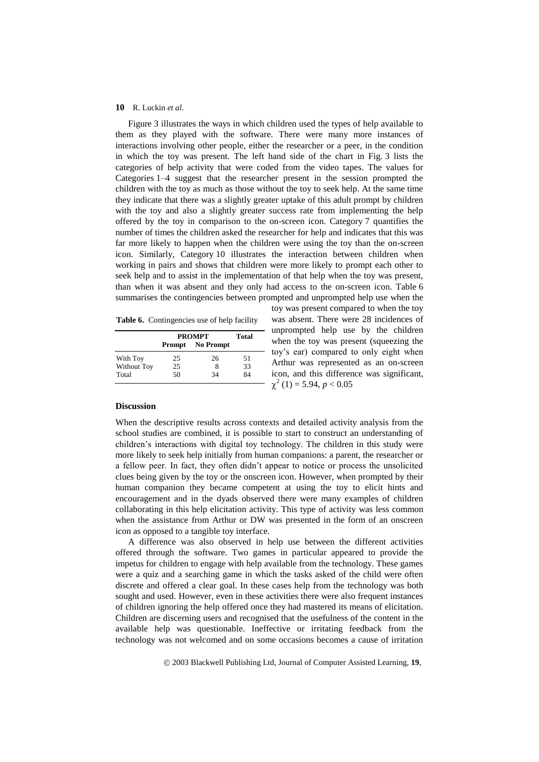Figure 3 illustrates the ways in which children used the types of help available to them as they played with the software. There were many more instances of interactions involving other people, either the researcher or a peer, in the condition in which the toy was present. The left hand side of the chart in Fig. 3 lists the categories of help activity that were coded from the video tapes. The values for Categories 1–4 suggest that the researcher present in the session prompted the children with the toy as much as those without the toy to seek help. At the same time they indicate that there was a slightly greater uptake of this adult prompt by children with the toy and also a slightly greater success rate from implementing the help offered by the toy in comparison to the on-screen icon. Category 7 quantifies the number of times the children asked the researcher for help and indicates that this was far more likely to happen when the children were using the toy than the on-screen icon. Similarly, Category 10 illustrates the interaction between children when working in pairs and shows that children were more likely to prompt each other to seek help and to assist in the implementation of that help when the toy was present, than when it was absent and they only had access to the on-screen icon. Table 6 summarises the contingencies between prompted and unprompted help use when the

**Table 6.** Contingencies use of help facility

|             | <b>PROMPT</b> | <b>Total</b> |    |
|-------------|---------------|--------------|----|
|             | Prompt        | No Prompt    |    |
| With Toy    | 25            | 26           | 51 |
| Without Toy | 25            | x            | 33 |
| Total       | 50            | 34           | 84 |

toy was present compared to when the toy was absent. There were 28 incidences of unprompted help use by the children when the toy was present (squeezing the toy's ear) compared to only eight when Arthur was represented as an on-screen icon, and this difference was significant,  $^{2}$  (1) = 5.94, *p* < 0.05

## **Discussion**

When the descriptive results across contexts and detailed activity analysis from the school studies are combined, it is possible to start to construct an understanding of children's interactions with digital toy technology. The children in this study were more likely to seek help initially from human companions: a parent, the researcher or a fellow peer. In fact, they often didn't appear to notice or process the unsolicited clues being given by the toy or the onscreen icon. However, when prompted by their human companion they became competent at using the toy to elicit hints and encouragement and in the dyads observed there were many examples of children collaborating in this help elicitation activity. This type of activity was less common when the assistance from Arthur or DW was presented in the form of an onscreen icon as opposed to a tangible toy interface.

A difference was also observed in help use between the different activities offered through the software. Two games in particular appeared to provide the impetus for children to engage with help available from the technology. These games were a quiz and a searching game in which the tasks asked of the child were often discrete and offered a clear goal. In these cases help from the technology was both sought and used. However, even in these activities there were also frequent instances of children ignoring the help offered once they had mastered its means of elicitation. Children are discerning users and recognised that the usefulness of the content in the available help was questionable. Ineffective or irritating feedback from the technology was not welcomed and on some occasions becomes a cause of irritation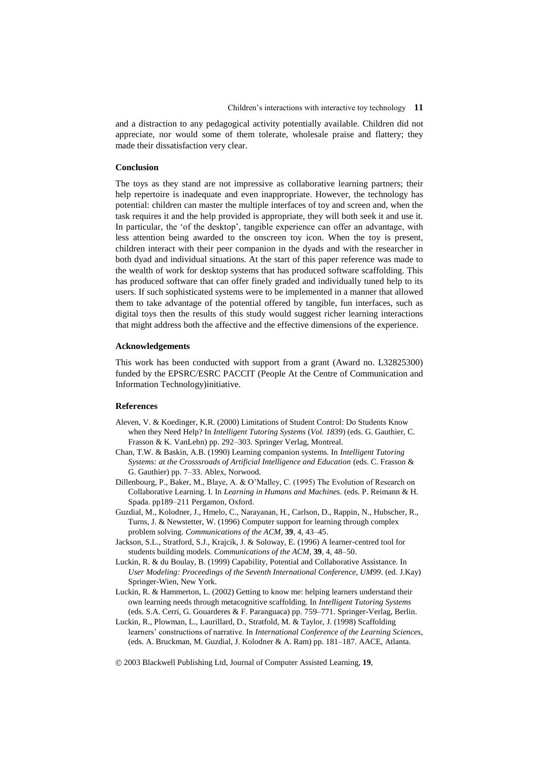and a distraction to any pedagogical activity potentially available. Children did not appreciate, nor would some of them tolerate, wholesale praise and flattery; they made their dissatisfaction very clear.

## **Conclusion**

The toys as they stand are not impressive as collaborative learning partners; their help repertoire is inadequate and even inappropriate. However, the technology has potential: children can master the multiple interfaces of toy and screen and, when the task requires it and the help provided is appropriate, they will both seek it and use it. In particular, the 'of the desktop', tangible experience can offer an advantage, with less attention being awarded to the onscreen toy icon. When the toy is present, children interact with their peer companion in the dyads and with the researcher in both dyad and individual situations. At the start of this paper reference was made to the wealth of work for desktop systems that has produced software scaffolding. This has produced software that can offer finely graded and individually tuned help to its users. If such sophisticated systems were to be implemented in a manner that allowed them to take advantage of the potential offered by tangible, fun interfaces, such as digital toys then the results of this study would suggest richer learning interactions that might address both the affective and the effective dimensions of the experience.

## **Acknowledgements**

This work has been conducted with support from a grant (Award no. L32825300) funded by the EPSRC/ESRC PACCIT (People At the Centre of Communication and Information Technology)initiative.

## **References**

- Aleven, V. & Koedinger, K.R. (2000) Limitations of Student Control: Do Students Know when they Need Help? In *Intelligent Tutoring Systems* (*Vol. 1839*) (eds. G. Gauthier, C. Frasson & K. VanLehn) pp. 292–303. Springer Verlag, Montreal.
- Chan, T.W. & Baskin, A.B. (1990) Learning companion systems. In *Intelligent Tutoring Systems: at the Crosssroads of Artificial Intelligence and Education* (eds. C. Frasson & G. Gauthier) pp. 7–33. Ablex, Norwood.
- Dillenbourg, P., Baker, M., Blaye, A. & O'Malley, C. (1995) The Evolution of Research on Collaborative Learning. I. In *Learning in Humans and Machines.* (eds. P. Reimann & H. Spada. pp189–211 Pergamon, Oxford.
- Guzdial, M., Kolodner, J., Hmelo, C., Narayanan, H., Carlson, D., Rappin, N., Hubscher, R., Turns, J. & Newstetter, W. (1996) Computer support for learning through complex problem solving. *Communications of the ACM*, **39**, 4, 43–45.
- Jackson, S.L., Stratford, S.J., Krajcik, J. & Soloway, E. (1996) A learner-centred tool for students building models. *Communications of the ACM*, **39**, 4, 48–50.
- Luckin, R. & du Boulay, B. (1999) Capability, Potential and Collaborative Assistance. In *User Modeling: Proceedings of the Seventh International Conference, UM99*. (ed. J.Kay) Springer-Wien, New York.
- Luckin, R. & Hammerton, L. (2002) Getting to know me: helping learners understand their own learning needs through metacognitive scaffolding. In *Intelligent Tutoring Systems* (eds. S.A. Cerri, G. Gouarderes & F. Paranguaca) pp. 759–771. Springer-Verlag, Berlin.
- Luckin, R., Plowman, L., Laurillard, D., Stratfold, M. & Taylor, J. (1998) Scaffolding learners' constructions of narrative. In *International Conference of the Learning Sciences*, (eds. A. Bruckman, M. Guzdial, J. Kolodner & A. Ram) pp. 181–187. AACE, Atlanta.